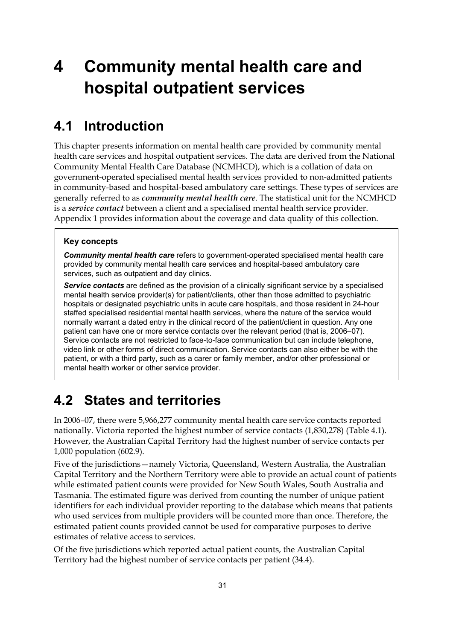# **4 Community mental health care and hospital outpatient services**

#### **4.1 Introduction**

This chapter presents information on mental health care provided by community mental health care services and hospital outpatient services. The data are derived from the National Community Mental Health Care Database (NCMHCD), which is a collation of data on government-operated specialised mental health services provided to non-admitted patients in community-based and hospital-based ambulatory care settings. These types of services are generally referred to as *community mental health care*. The statistical unit for the NCMHCD is a *service contact* between a client and a specialised mental health service provider. Appendix 1 provides information about the coverage and data quality of this collection.

#### **Key concepts**

*Community mental health care* refers to government-operated specialised mental health care provided by community mental health care services and hospital-based ambulatory care services, such as outpatient and day clinics.

*Service contacts* are defined as the provision of a clinically significant service by a specialised mental health service provider(s) for patient/clients, other than those admitted to psychiatric hospitals or designated psychiatric units in acute care hospitals, and those resident in 24-hour staffed specialised residential mental health services, where the nature of the service would normally warrant a dated entry in the clinical record of the patient/client in question. Any one patient can have one or more service contacts over the relevant period (that is, 2006–07). Service contacts are not restricted to face-to-face communication but can include telephone, video link or other forms of direct communication. Service contacts can also either be with the patient, or with a third party, such as a carer or family member, and/or other professional or mental health worker or other service provider.

#### **4.2 States and territories**

In 2006–07, there were 5,966,277 community mental health care service contacts reported nationally. Victoria reported the highest number of service contacts (1,830,278) (Table 4.1). However, the Australian Capital Territory had the highest number of service contacts per 1,000 population (602.9).

Five of the jurisdictions—namely Victoria, Queensland, Western Australia, the Australian Capital Territory and the Northern Territory were able to provide an actual count of patients while estimated patient counts were provided for New South Wales, South Australia and Tasmania. The estimated figure was derived from counting the number of unique patient identifiers for each individual provider reporting to the database which means that patients who used services from multiple providers will be counted more than once. Therefore, the estimated patient counts provided cannot be used for comparative purposes to derive estimates of relative access to services.

Of the five jurisdictions which reported actual patient counts, the Australian Capital Territory had the highest number of service contacts per patient (34.4).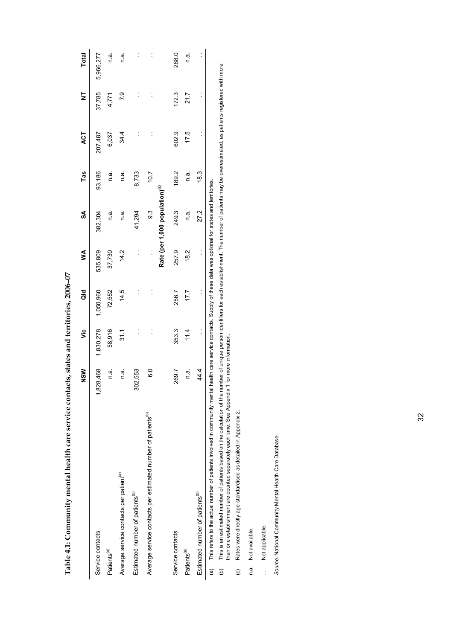|                                                                                            | $rac{5}{2}$   | ۊ              | as<br>To                                                                                    | ≸                    | S                                          | Tas     | ACT                  | ₹              | <b>Total</b>   |
|--------------------------------------------------------------------------------------------|---------------|----------------|---------------------------------------------------------------------------------------------|----------------------|--------------------------------------------|---------|----------------------|----------------|----------------|
| Service contacts                                                                           | 1,828,468     | 1,830,278      | 1,050,960                                                                                   | 535,809              | 382,304                                    | 93,186  | 207,487              | 37,785         | 5,966,277      |
| Patients <sup>(a)</sup>                                                                    | n.ai          | 58,916         | 72,552                                                                                      | 37,730               | n.a.                                       | n.a.    | 6,037                | 4,771          | n a            |
| Average service contacts per patient <sup>(a)</sup>                                        | n a           | 31.1           | 14.5                                                                                        | 14.2                 | n a                                        | n a     | 34.4                 | P.9            | n a            |
| Estimated number of patients <sup>(b)</sup>                                                | 02,553<br>ನ   | $\ddot{\cdot}$ | $\ddot{\cdot}$                                                                              | $\ddot{\phantom{0}}$ | 41,294                                     | 8,733   | $\ddot{\phantom{0}}$ | $\ddot{\cdot}$ | $\ddot{\cdot}$ |
| Average service contacts per estimated number of patients <sup>(b)</sup>                   | $\frac{0}{6}$ | $\ddot{\cdot}$ | $\ddot{\cdot}$                                                                              | $\ddot{\phantom{a}}$ | ာ                                          | 10.7    |                      | $\ddot{\cdot}$ | $\ddot{\cdot}$ |
|                                                                                            |               |                |                                                                                             |                      | Rate (per 1,000 population) <sup>(c)</sup> |         |                      |                |                |
| Service contacts                                                                           | 269.7         | 353.3          | 256.7                                                                                       | 257.9                | 249.3                                      | 189.2   | 602.9                | 172.3          | 288.0          |
| Patients <sup>(a)</sup>                                                                    | n.a.          | 11.4           | 7.7                                                                                         | 18.2                 | n a                                        | a.<br>C | 17.5                 | 21.7           | n a            |
| Estimated number of patients <sup>(b)</sup>                                                | 44.4          | $\ddot{\cdot}$ | $\vdots$                                                                                    | $\ddot{\cdot}$       | 27.2                                       | 18.3    |                      |                | $\ddot{\cdot}$ |
| This refers to the actual number of patients involved in community mental<br>$\widehat{a}$ |               |                | health care service contacts. Supply of these data was optional for states and territories. |                      |                                            |         |                      |                |                |

| ļ                   |
|---------------------|
|                     |
| í                   |
|                     |
|                     |
|                     |
|                     |
|                     |
|                     |
|                     |
|                     |
|                     |
|                     |
|                     |
|                     |
|                     |
|                     |
|                     |
|                     |
| ctate and throthers |
|                     |
|                     |
|                     |
|                     |
|                     |
|                     |
|                     |
|                     |
| きりゅうこう りりょうろう りそうり  |
|                     |
|                     |
|                     |
|                     |
|                     |
|                     |
|                     |
|                     |
|                     |
|                     |
|                     |
|                     |
|                     |
|                     |
|                     |
|                     |
|                     |
|                     |
|                     |
|                     |
|                     |
|                     |
|                     |
|                     |
|                     |
|                     |
|                     |
|                     |
|                     |
|                     |
|                     |
|                     |
|                     |
|                     |
|                     |
|                     |
|                     |
|                     |
|                     |
| 1                   |
|                     |
|                     |
|                     |
|                     |
|                     |
|                     |
|                     |
| $\overline{ }$      |

This is an estimated number of patients based on the calculation of the number of unique person identifiers for each establishment. The number of patients may be overestimated, as patients registered with more<br>than one est (b) This is an estimated number of patients based on the calculation of the number of unique person identifiers for each establishment. The number of patients may be overestimated, as patients registered with more than one establishment are counted separately each time. See Appendix 1 for more information.  $\widehat{e}$ 

Rates were directly age-standardised as detailed in Appendix 2. (c) Rates were directly age-standardised as detailed in Appendix 2.  $\odot$ 

n.a. Not available. n.a. Not available.

... Not applicable. .. Not applicable.

Source: National Community Mental Health Care Database. *Source:* National Community Mental Health Care Database.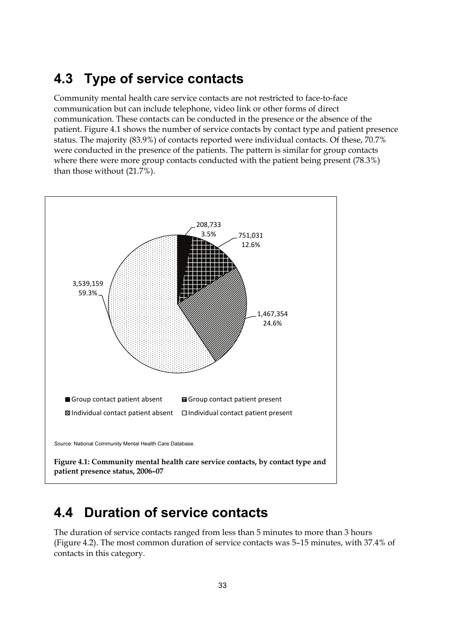#### **4.3 Type of service contacts**

Community mental health care service contacts are not restricted to face-to-face communication but can include telephone, video link or other forms of direct communication. These contacts can be conducted in the presence or the absence of the patient. Figure 4.1 shows the number of service contacts by contact type and patient presence status. The majority (83.9%) of contacts reported were individual contacts. Of these, 70.7% were conducted in the presence of the patients. The pattern is similar for group contacts where there were more group contacts conducted with the patient being present (78.3%) than those without (21.7%).



#### **4.4 Duration of service contacts**

The duration of service contacts ranged from less than 5 minutes to more than 3 hours (Figure 4.2). The most common duration of service contacts was 5–15 minutes, with 37.4% of contacts in this category.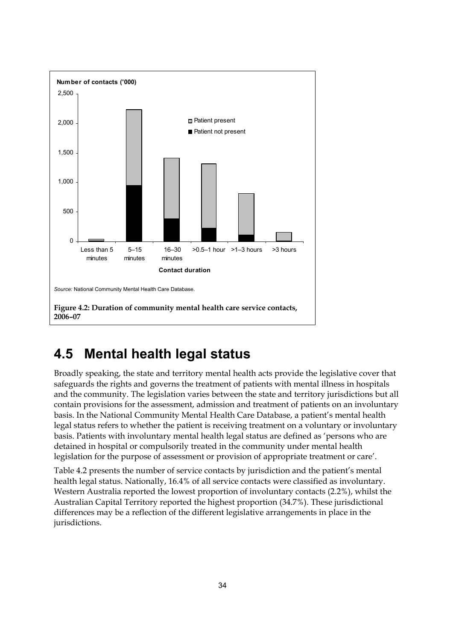

#### **4.5 Mental health legal status**

Broadly speaking, the state and territory mental health acts provide the legislative cover that safeguards the rights and governs the treatment of patients with mental illness in hospitals and the community. The legislation varies between the state and territory jurisdictions but all contain provisions for the assessment, admission and treatment of patients on an involuntary basis. In the National Community Mental Health Care Database, a patient's mental health legal status refers to whether the patient is receiving treatment on a voluntary or involuntary basis. Patients with involuntary mental health legal status are defined as 'persons who are detained in hospital or compulsorily treated in the community under mental health legislation for the purpose of assessment or provision of appropriate treatment or care'.

Table 4.2 presents the number of service contacts by jurisdiction and the patient's mental health legal status. Nationally, 16.4% of all service contacts were classified as involuntary. Western Australia reported the lowest proportion of involuntary contacts (2.2%), whilst the Australian Capital Territory reported the highest proportion (34.7%). These jurisdictional differences may be a reflection of the different legislative arrangements in place in the jurisdictions.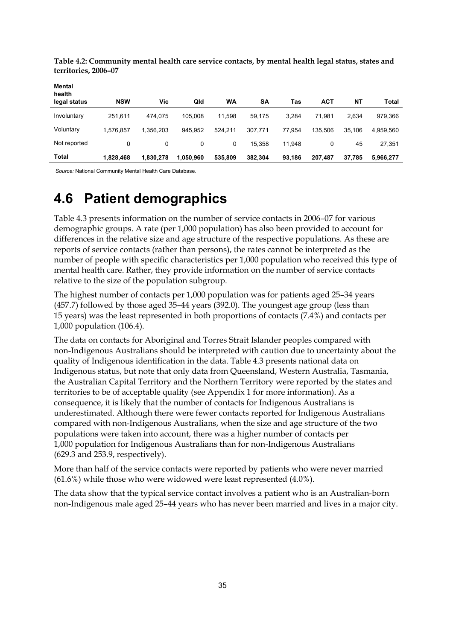| Mental<br>health |            |           |           |         |           |        |            |           |           |
|------------------|------------|-----------|-----------|---------|-----------|--------|------------|-----------|-----------|
| legal status     | <b>NSW</b> | Vic       | Qld       | WA      | <b>SA</b> | Tas    | <b>ACT</b> | <b>NT</b> | Total     |
| Involuntary      | 251,611    | 474.075   | 105.008   | 11.598  | 59,175    | 3.284  | 71.981     | 2.634     | 979,366   |
| Voluntary        | 1.576.857  | 1.356.203 | 945.952   | 524.211 | 307,771   | 77.954 | 135.506    | 35.106    | 4,959,560 |
| Not reported     | 0          | 0         | 0         | 0       | 15,358    | 11,948 | 0          | 45        | 27,351    |
| Total            | 1,828,468  | 1,830,278 | 1,050,960 | 535,809 | 382,304   | 93,186 | 207,487    | 37,785    | 5,966,277 |

**Table 4.2: Community mental health care service contacts, by mental health legal status, states and territories, 2006–07** 

 *Source:* National Community Mental Health Care Database.

### **4.6 Patient demographics**

Table 4.3 presents information on the number of service contacts in 2006–07 for various demographic groups. A rate (per 1,000 population) has also been provided to account for differences in the relative size and age structure of the respective populations. As these are reports of service contacts (rather than persons), the rates cannot be interpreted as the number of people with specific characteristics per 1,000 population who received this type of mental health care. Rather, they provide information on the number of service contacts relative to the size of the population subgroup.

The highest number of contacts per 1,000 population was for patients aged 25–34 years (457.7) followed by those aged 35–44 years (392.0). The youngest age group (less than 15 years) was the least represented in both proportions of contacts (7.4%) and contacts per 1,000 population (106.4).

The data on contacts for Aboriginal and Torres Strait Islander peoples compared with non-Indigenous Australians should be interpreted with caution due to uncertainty about the quality of Indigenous identification in the data. Table 4.3 presents national data on Indigenous status, but note that only data from Queensland, Western Australia, Tasmania, the Australian Capital Territory and the Northern Territory were reported by the states and territories to be of acceptable quality (see Appendix 1 for more information). As a consequence, it is likely that the number of contacts for Indigenous Australians is underestimated. Although there were fewer contacts reported for Indigenous Australians compared with non-Indigenous Australians, when the size and age structure of the two populations were taken into account, there was a higher number of contacts per 1,000 population for Indigenous Australians than for non-Indigenous Australians (629.3 and 253.9, respectively).

More than half of the service contacts were reported by patients who were never married (61.6%) while those who were widowed were least represented (4.0%).

The data show that the typical service contact involves a patient who is an Australian-born non-Indigenous male aged 25–44 years who has never been married and lives in a major city.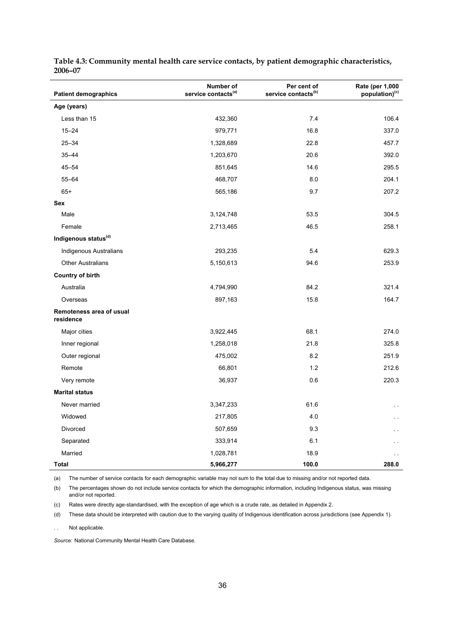| <b>Patient demographics</b>           | Number of<br>service contacts <sup>(a)</sup> | Per cent of<br>service contacts <sup>(b)</sup> | Rate (per 1,000<br>population) <sup>(c)</sup> |
|---------------------------------------|----------------------------------------------|------------------------------------------------|-----------------------------------------------|
| Age (years)                           |                                              |                                                |                                               |
| Less than 15                          | 432,360                                      | 7.4                                            | 106.4                                         |
| $15 - 24$                             | 979,771                                      | 16.8                                           | 337.0                                         |
| $25 - 34$                             | 1,328,689                                    | 22.8                                           | 457.7                                         |
| $35 - 44$                             | 1,203,670                                    | 20.6                                           | 392.0                                         |
| $45 - 54$                             | 851,645                                      | 14.6                                           | 295.5                                         |
| $55 - 64$                             | 468,707                                      | 8.0                                            | 204.1                                         |
| $65+$                                 | 565,186                                      | 9.7                                            | 207.2                                         |
| Sex                                   |                                              |                                                |                                               |
| Male                                  | 3,124,748                                    | 53.5                                           | 304.5                                         |
| Female                                | 2,713,465                                    | 46.5                                           | 258.1                                         |
| Indigenous status <sup>(d)</sup>      |                                              |                                                |                                               |
| Indigenous Australians                | 293,235                                      | 5.4                                            | 629.3                                         |
| <b>Other Australians</b>              | 5,150,613                                    | 94.6                                           | 253.9                                         |
| <b>Country of birth</b>               |                                              |                                                |                                               |
| Australia                             | 4,794,990                                    | 84.2                                           | 321.4                                         |
| Overseas                              | 897,163                                      | 15.8                                           | 164.7                                         |
| Remoteness area of usual<br>residence |                                              |                                                |                                               |
| Major cities                          | 3,922,445                                    | 68.1                                           | 274.0                                         |
| Inner regional                        | 1,258,018                                    | 21.8                                           | 325.8                                         |
| Outer regional                        | 475,002                                      | 8.2                                            | 251.9                                         |
| Remote                                | 66,801                                       | 1.2                                            | 212.6                                         |
| Very remote                           | 36,937                                       | 0.6                                            | 220.3                                         |
| <b>Marital status</b>                 |                                              |                                                |                                               |
| Never married                         | 3,347,233                                    | 61.6                                           | $\ddot{\phantom{a}}$                          |
| Widowed                               | 217,805                                      | 4.0                                            |                                               |
| Divorced                              | 507,659                                      | 9.3                                            |                                               |
| Separated                             | 333,914                                      | 6.1                                            |                                               |
| Married                               | 1,028,781                                    | 18.9                                           |                                               |
| Total                                 | 5,966,277                                    | 100.0                                          | 288.0                                         |

**Table 4.3: Community mental health care service contacts, by patient demographic characteristics, 2006–07** 

(a) The number of service contacts for each demographic variable may not sum to the total due to missing and/or not reported data.

(b) The percentages shown do not include service contacts for which the demographic information, including Indigenous status, was missing and/or not reported.

(c) Rates were directly age-standardised, with the exception of age which is a crude rate, as detailed in Appendix 2.

(d) These data should be interpreted with caution due to the varying quality of Indigenous identification across jurisdictions (see Appendix 1).

. . Not applicable.

*Source:* National Community Mental Health Care Database.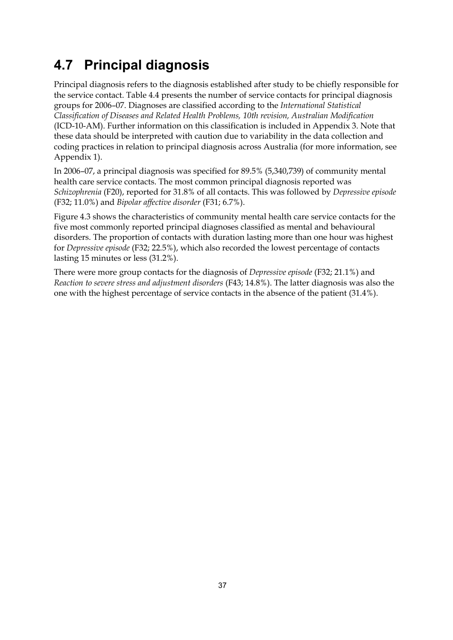# **4.7 Principal diagnosis**

Principal diagnosis refers to the diagnosis established after study to be chiefly responsible for the service contact. Table 4.4 presents the number of service contacts for principal diagnosis groups for 2006–07. Diagnoses are classified according to the *International Statistical Classification of Diseases and Related Health Problems, 10th revision, Australian Modification*  (ICD-10-AM). Further information on this classification is included in Appendix 3. Note that these data should be interpreted with caution due to variability in the data collection and coding practices in relation to principal diagnosis across Australia (for more information, see Appendix 1).

In 2006–07, a principal diagnosis was specified for 89.5% (5,340,739) of community mental health care service contacts. The most common principal diagnosis reported was *Schizophrenia* (F20), reported for 31.8% of all contacts. This was followed by *Depressive episode* (F32; 11.0%) and *Bipolar affective disorder* (F31; 6.7%).

Figure 4.3 shows the characteristics of community mental health care service contacts for the five most commonly reported principal diagnoses classified as mental and behavioural disorders. The proportion of contacts with duration lasting more than one hour was highest for *Depressive episode* (F32; 22.5%), which also recorded the lowest percentage of contacts lasting 15 minutes or less (31.2%).

There were more group contacts for the diagnosis of *Depressive episode* (F32; 21.1%) and *Reaction to severe stress and adjustment disorders* (F43; 14.8%). The latter diagnosis was also the one with the highest percentage of service contacts in the absence of the patient (31.4%).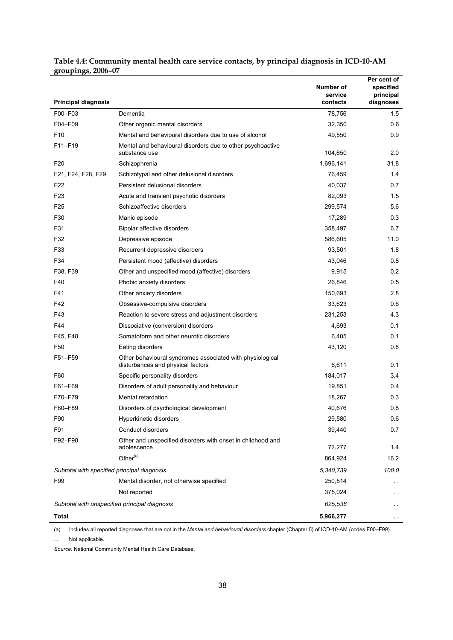| <b>Principal diagnosis</b>                    |                                                                                                | Number of<br>service<br>contacts | Per cent of<br>specified<br>principal<br>diagnoses |
|-----------------------------------------------|------------------------------------------------------------------------------------------------|----------------------------------|----------------------------------------------------|
| F00-F03                                       | Dementia                                                                                       | 78,756                           | 1.5                                                |
| F04-F09                                       | Other organic mental disorders                                                                 | 32,350                           | 0.6                                                |
| F <sub>10</sub>                               | Mental and behavioural disorders due to use of alcohol                                         | 49,550                           | 0.9                                                |
| F11-F19                                       | Mental and behavioural disorders due to other psychoactive                                     |                                  |                                                    |
|                                               | substance use                                                                                  | 104,650                          | 2.0                                                |
| F <sub>20</sub>                               | Schizophrenia                                                                                  | 1,696,141                        | 31.8                                               |
| F21, F24, F28, F29                            | Schizotypal and other delusional disorders                                                     | 76,459                           | 1.4                                                |
| F <sub>22</sub>                               | Persistent delusional disorders                                                                | 40,037                           | 0.7                                                |
| F <sub>23</sub>                               | Acute and transient psychotic disorders                                                        | 82,093                           | 1.5                                                |
| F <sub>25</sub>                               | Schizoaffective disorders                                                                      | 299,574                          | 5.6                                                |
| F30                                           | Manic episode                                                                                  | 17,289                           | 0.3                                                |
| F31                                           | Bipolar affective disorders                                                                    | 358,497                          | 6.7                                                |
| F32                                           | Depressive episode                                                                             | 586,605                          | 11.0                                               |
| F33                                           | Recurrent depressive disorders                                                                 | 93,501                           | 1.8                                                |
| F34                                           | Persistent mood (affective) disorders                                                          | 43,046                           | 0.8                                                |
| F38, F39                                      | Other and unspecified mood (affective) disorders                                               | 9,915                            | 0.2                                                |
| F40                                           | Phobic anxiety disorders                                                                       | 26,846                           | 0.5                                                |
| F41                                           | Other anxiety disorders                                                                        | 150,693                          | 2.8                                                |
| F42                                           | Obsessive-compulsive disorders                                                                 | 33,623                           | 0.6                                                |
| F43                                           | Reaction to severe stress and adjustment disorders                                             | 231,253                          | 4.3                                                |
| F44                                           | Dissociative (conversion) disorders                                                            | 4,693                            | 0.1                                                |
| F45, F48                                      | Somatoform and other neurotic disorders                                                        | 6,405                            | 0.1                                                |
| F50                                           | Eating disorders                                                                               | 43,120                           | 0.8                                                |
| F51-F59                                       | Other behavioural syndromes associated with physiological<br>disturbances and physical factors | 6,611                            | 0.1                                                |
| F60                                           | Specific personality disorders                                                                 | 184,017                          | 3.4                                                |
| F61-F69                                       | Disorders of adult personality and behaviour                                                   | 19,851                           | 0.4                                                |
| F70-F79                                       | Mental retardation                                                                             | 18,267                           | 0.3                                                |
| F80-F89                                       | Disorders of psychological development                                                         | 40,676                           | 0.8                                                |
| F90                                           | Hyperkinetic disorders                                                                         | 29,580                           | 0.6                                                |
| F91                                           | <b>Conduct disorders</b>                                                                       | 39,440                           | 0.7                                                |
| F92-F98                                       | Other and unspecified disorders with onset in childhood and                                    |                                  |                                                    |
|                                               | adolescence                                                                                    | 72,277                           | 1.4                                                |
|                                               | Other <sup>(a)</sup>                                                                           | 864,924                          | 16.2                                               |
| Subtotal with specified principal diagnosis   |                                                                                                | 5,340,739                        | 100.0                                              |
| F99                                           | Mental disorder, not otherwise specified                                                       | 250,514                          |                                                    |
|                                               | Not reported                                                                                   | 375,024                          | $\sim$ $\sim$                                      |
| Subtotal with unspecified principal diagnosis |                                                                                                | 625,538                          |                                                    |
| Total                                         |                                                                                                | 5,966,277                        | $\sim$ $\sim$                                      |

#### **Table 4.4: Community mental health care service contacts, by principal diagnosis in ICD-10-AM groupings, 2006–07**

(a) Includes all reported diagnoses that are not in the *Mental and behavioural disorders* chapter (Chapter 5) of ICD-10-AM (codes F00–F99).

. . Not applicable.

*Source:* National Community Mental Health Care Database.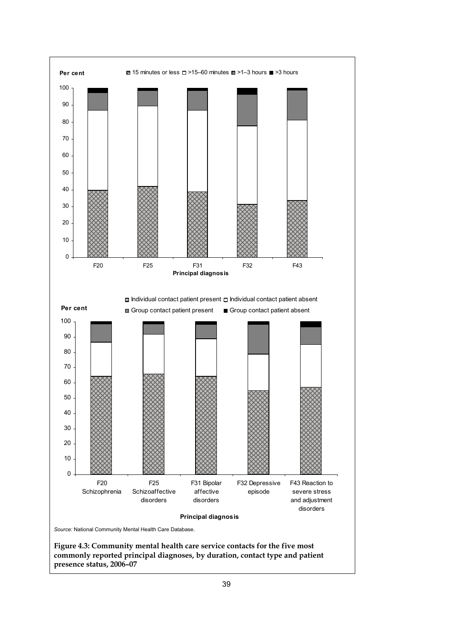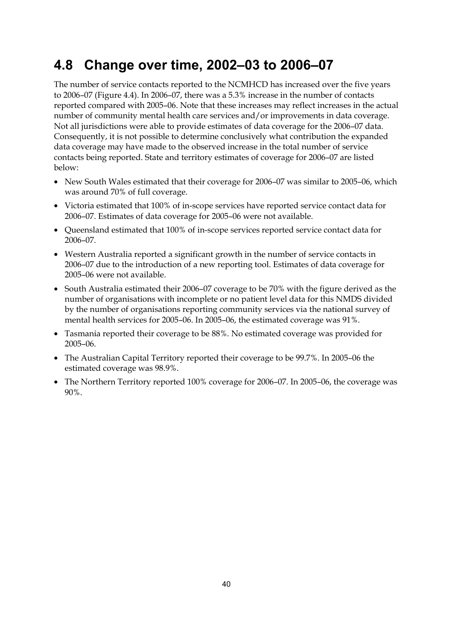### **4.8 Change over time, 2002–03 to 2006–07**

The number of service contacts reported to the NCMHCD has increased over the five years to 2006–07 (Figure 4.4). In 2006–07, there was a 5.3% increase in the number of contacts reported compared with 2005–06. Note that these increases may reflect increases in the actual number of community mental health care services and/or improvements in data coverage. Not all jurisdictions were able to provide estimates of data coverage for the 2006–07 data. Consequently, it is not possible to determine conclusively what contribution the expanded data coverage may have made to the observed increase in the total number of service contacts being reported. State and territory estimates of coverage for 2006–07 are listed below:

- New South Wales estimated that their coverage for 2006–07 was similar to 2005–06, which was around 70% of full coverage.
- Victoria estimated that 100% of in-scope services have reported service contact data for 2006–07. Estimates of data coverage for 2005–06 were not available.
- Queensland estimated that 100% of in-scope services reported service contact data for 2006–07.
- Western Australia reported a significant growth in the number of service contacts in 2006–07 due to the introduction of a new reporting tool. Estimates of data coverage for 2005–06 were not available.
- South Australia estimated their 2006–07 coverage to be 70% with the figure derived as the number of organisations with incomplete or no patient level data for this NMDS divided by the number of organisations reporting community services via the national survey of mental health services for 2005–06. In 2005–06, the estimated coverage was 91%.
- Tasmania reported their coverage to be 88%. No estimated coverage was provided for 2005–06.
- The Australian Capital Territory reported their coverage to be 99.7%. In 2005–06 the estimated coverage was 98.9%.
- The Northern Territory reported 100% coverage for 2006–07. In 2005–06, the coverage was 90%.